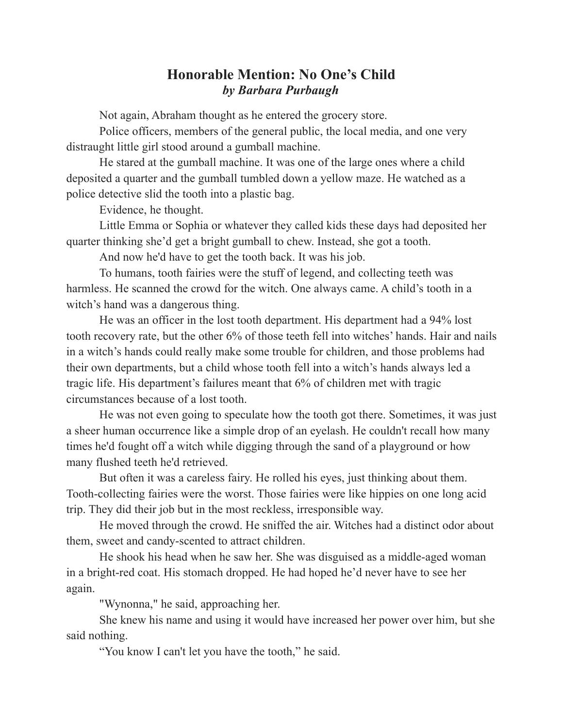## **Honorable Mention: No One's Child** *by Barbara Purbaugh*

Not again, Abraham thought as he entered the grocery store.

Police officers, members of the general public, the local media, and one very distraught little girl stood around a gumball machine.

He stared at the gumball machine. It was one of the large ones where a child deposited a quarter and the gumball tumbled down a yellow maze. He watched as a police detective slid the tooth into a plastic bag.

Evidence, he thought.

Little Emma or Sophia or whatever they called kids these days had deposited her quarter thinking she'd get a bright gumball to chew. Instead, she got a tooth.

And now he'd have to get the tooth back. It was his job.

To humans, tooth fairies were the stuff of legend, and collecting teeth was harmless. He scanned the crowd for the witch. One always came. A child's tooth in a witch's hand was a dangerous thing.

He was an officer in the lost tooth department. His department had a 94% lost tooth recovery rate, but the other 6% of those teeth fell into witches' hands. Hair and nails in a witch's hands could really make some trouble for children, and those problems had their own departments, but a child whose tooth fell into a witch's hands always led a tragic life. His department's failures meant that 6% of children met with tragic circumstances because of a lost tooth.

He was not even going to speculate how the tooth got there. Sometimes, it was just a sheer human occurrence like a simple drop of an eyelash. He couldn't recall how many times he'd fought off a witch while digging through the sand of a playground or how many flushed teeth he'd retrieved.

But often it was a careless fairy. He rolled his eyes, just thinking about them. Tooth-collecting fairies were the worst. Those fairies were like hippies on one long acid trip. They did their job but in the most reckless, irresponsible way.

He moved through the crowd. He sniffed the air. Witches had a distinct odor about them, sweet and candy-scented to attract children.

He shook his head when he saw her. She was disguised as a middle-aged woman in a bright-red coat. His stomach dropped. He had hoped he'd never have to see her again.

"Wynonna," he said, approaching her.

She knew his name and using it would have increased her power over him, but she said nothing.

"You know I can't let you have the tooth," he said.